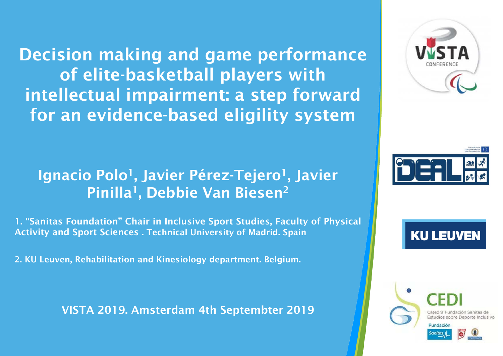Decision making and game performance of elite-basketball players with intellectual impairment: a step forward for an evidence-based eligility system

## Ignacio Polo<sup>1</sup>, Javier Pérez-Tejero<sup>1</sup>, Javier Pinilla<sup>1</sup>, Debbie Van Biesen<sup>2</sup>

1. "Sanitas Foundation" Chair in Inclusive Sport Studies, Faculty of Physical Activity and Sport Sciences . Technical University of Madrid. Spain

2. KU Leuven, Rehabilitation and Kinesiology department. Belgium.

VISTA 2019. Amsterdam 4th Septembter 2019





**KU LEUVEN** 



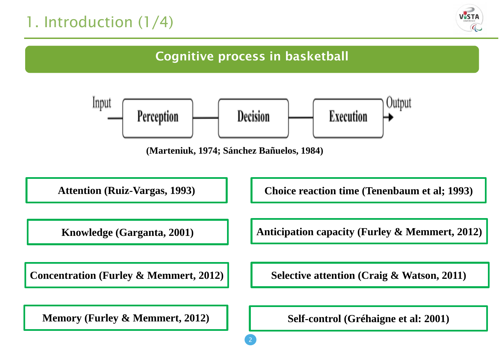# 1. Introduction (1/4)



## Cognitive process in basketball

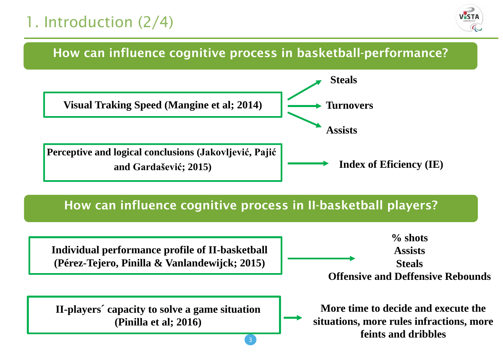# 1. Introduction (2/4)



### How can influence cognitive process in basketball-performance?



### How can influence cognitive process in II-basketball players?

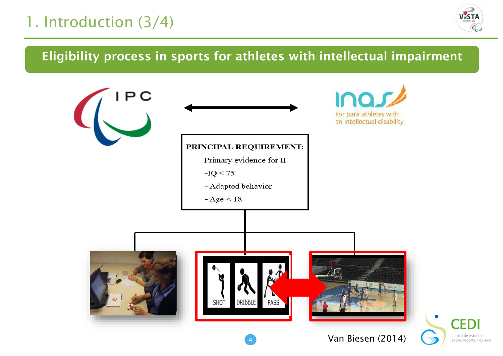# 1. Introduction (3/4)



## Eligibility process in sports for athletes with intellectual impairment

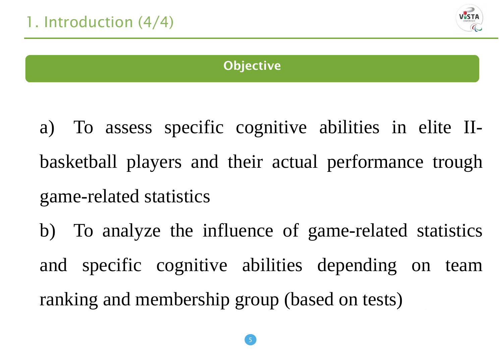

## **Objective**

a) To assess specific cognitive abilities in elite IIbasketball players and their actual performance trough game-related statistics

b) To analyze the influence of game-related statistics and specific cognitive abilities depending on team ranking and membership group (based on tests)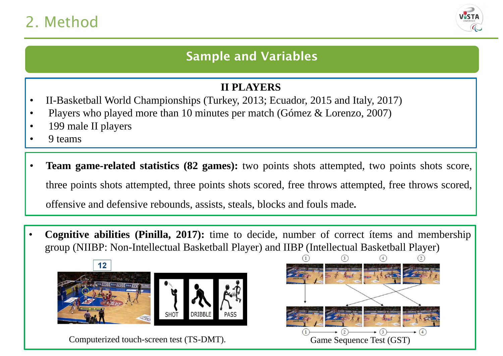# 2. Method



## Sample and Variables

#### **II PLAYERS**

- II-Basketball World Championships (Turkey, 2013; Ecuador, 2015 and Italy, 2017)
- Players who played more than 10 minutes per match (Gómez & Lorenzo, 2007)
- 199 male II players
- 9 teams
- **Team game-related statistics (82 games):** two points shots attempted, two points shots score, three points shots attempted, three points shots scored, free throws attempted, free throws scored, offensive and defensive rebounds, assists, steals, blocks and fouls made.
- **Cognitive abilities (Pinilla, 2017):** time to decide, number of correct ítems and membership group (NIIBP: Non-Intellectual Basketball Player) and IIBP (Intellectual Basketball Player)



Computerized touch-screen test (TS-DMT). Game Sequence Test (GST)

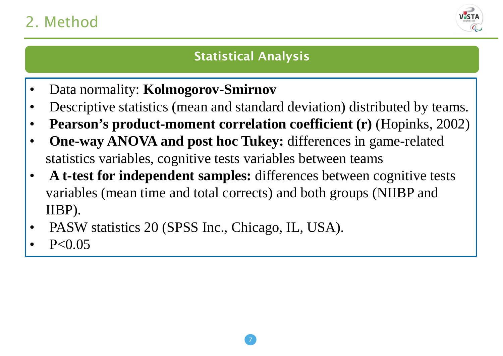# 2. Method



## Statistical Analysis

- Data normality: **Kolmogorov-Smirnov**
- Descriptive statistics (mean and standard deviation) distributed by teams.
- **Pearson's product-moment correlation coefficient (r)** (Hopinks, 2002)
- **One-way ANOVA and post hoc Tukey:** differences in game-related statistics variables, cognitive tests variables between teams
- **A t-test for independent samples:** differences between cognitive tests variables (mean time and total corrects) and both groups (NIIBP and IIBP).
- PASW statistics 20 (SPSS Inc., Chicago, IL, USA).
- $P < 0.05$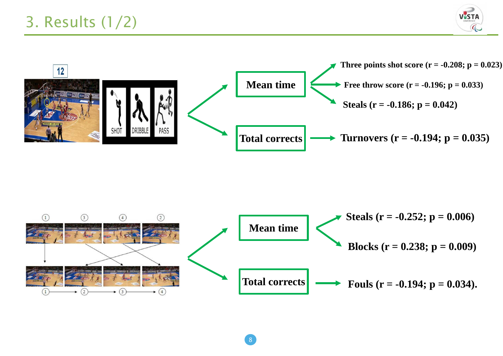



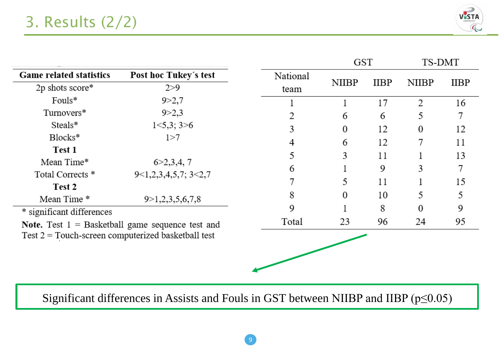

|                                                                                                                                                |                         |          | <b>GST</b>   |             | TS-DMT       |             |
|------------------------------------------------------------------------------------------------------------------------------------------------|-------------------------|----------|--------------|-------------|--------------|-------------|
| <b>Game related statistics</b>                                                                                                                 | Post hoc Tukey's test   | National | <b>NIIBP</b> | <b>IIBP</b> | <b>NIIBP</b> | <b>IIBP</b> |
| 2p shots score*                                                                                                                                | 2 > 9                   | team     |              |             |              |             |
| Fouls*                                                                                                                                         | 9 > 2,7                 |          |              | 17          | 2            | 16          |
| Turnovers*                                                                                                                                     | 9 > 2,3                 | 2        | 6            | 6           | 5            |             |
| Steals*                                                                                                                                        | 1<5,3;3>6               | 3        | 0            | 12          | 0            | 12          |
| Blocks*                                                                                                                                        | 1 > 7                   | 4        | 6            | 12          | 7            | 11          |
| Test 1                                                                                                                                         |                         | 5        | 3            | 11          |              | 13          |
| Mean Time*                                                                                                                                     | 6 > 2, 3, 4, 7          |          |              |             |              | 7           |
| Total Corrects *                                                                                                                               | 9<1,2,3,4,5,7; 3<2,7    | 6        |              | 9           | 3            |             |
| Test 2                                                                                                                                         |                         | 7        | 5            | 11          |              | 15          |
| Mean Time*                                                                                                                                     | 9 > 1, 2, 3, 5, 6, 7, 8 | 8        | 0            | 10          | 5            | 5           |
| * significant differences<br><b>Note.</b> Test $1 =$ Basketball game sequence test and<br>Test $2 =$ Touch-screen computerized basketball test |                         | 9        |              | 8           | 0            | 9           |
|                                                                                                                                                |                         | Total    | 23           | 96          | 24           | 95          |
|                                                                                                                                                |                         |          |              |             |              |             |
|                                                                                                                                                |                         |          |              |             |              |             |
|                                                                                                                                                |                         |          |              |             |              |             |

Significant differences in Assists and Fouls in GST between NIIBP and IIBP  $(p \le 0.05)$ 

9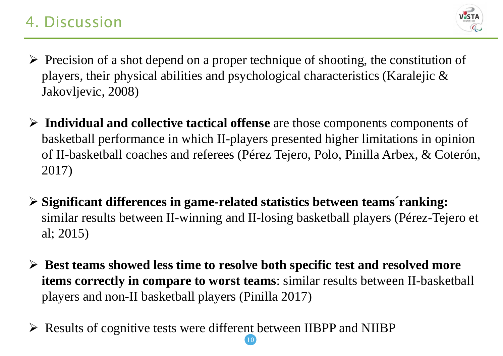# 4. Discussion



- $\triangleright$  Precision of a shot depend on a proper technique of shooting, the constitution of players, their physical abilities and psychological characteristics (Karalejic & Jakovljevic, 2008)
- **Individual and collective tactical offense** are those components components of basketball performance in which II-players presented higher limitations in opinion of II-basketball coaches and referees (Pérez Tejero, Polo, Pinilla Arbex, & Coterón, 2017)
- **Significant differences in game-related statistics between teams´ranking:**  similar results between II-winning and II-losing basketball players (Pérez-Tejero et al; 2015)
- **Best teams showed less time to resolve both specific test and resolved more items correctly in compare to worst teams**: similar results between II-basketball players and non-II basketball players (Pinilla 2017)

10

Results of cognitive tests were different between IIBPP and NIIBP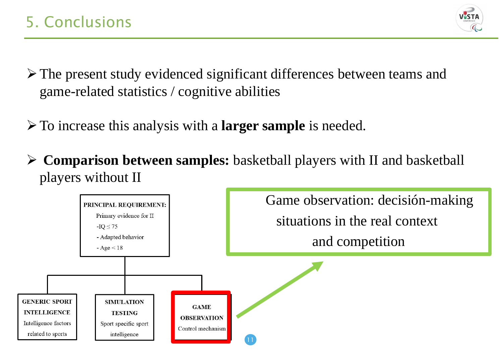

- The present study evidenced significant differences between teams and game-related statistics / cognitive abilities
- To increase this analysis with a **larger sample** is needed.
- **Comparison between samples:** basketball players with II and basketball players without II